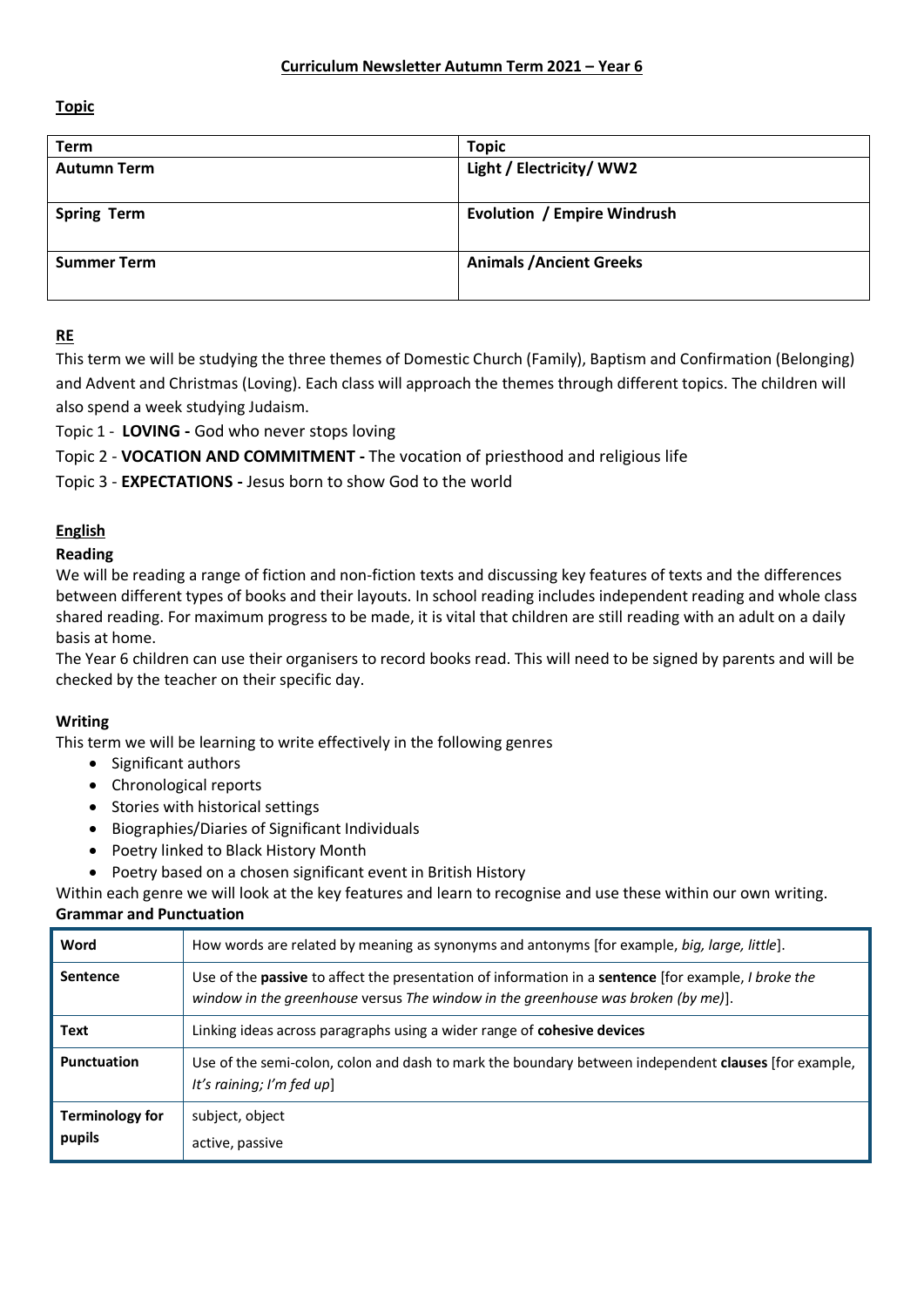**Topic** 

| <b>Term</b>        | <b>Topic</b>                       |
|--------------------|------------------------------------|
| <b>Autumn Term</b> | Light / Electricity/ WW2           |
|                    |                                    |
| <b>Spring Term</b> | <b>Evolution / Empire Windrush</b> |
| <b>Summer Term</b> | <b>Animals / Ancient Greeks</b>    |

# **RE**

This term we will be studying the three themes of Domestic Church (Family), Baptism and Confirmation (Belonging) and Advent and Christmas (Loving). Each class will approach the themes through different topics. The children will also spend a week studying Judaism.

Topic 1 - **LOVING -** God who never stops loving

Topic 2 - **VOCATION AND COMMITMENT -** The vocation of priesthood and religious life

Topic 3 - **EXPECTATIONS -** Jesus born to show God to the world

# **English**

## **Reading**

We will be reading a range of fiction and non-fiction texts and discussing key features of texts and the differences between different types of books and their layouts. In school reading includes independent reading and whole class shared reading. For maximum progress to be made, it is vital that children are still reading with an adult on a daily basis at home.

The Year 6 children can use their organisers to record books read. This will need to be signed by parents and will be checked by the teacher on their specific day.

## **Writing**

This term we will be learning to write effectively in the following genres

- Significant authors
- Chronological reports
- Stories with historical settings
- Biographies/Diaries of Significant Individuals
- Poetry linked to Black History Month
- Poetry based on a chosen significant event in British History

Within each genre we will look at the key features and learn to recognise and use these within our own writing.

## **Grammar and Punctuation**

| Word                      | How words are related by meaning as synonyms and antonyms [for example, big, large, little].                                                                                                                   |
|---------------------------|----------------------------------------------------------------------------------------------------------------------------------------------------------------------------------------------------------------|
| <b>Sentence</b>           | Use of the <b>passive</b> to affect the presentation of information in a <b>sentence</b> [for example, <i>I broke the</i><br>window in the greenhouse versus The window in the greenhouse was broken (by me)]. |
| Text                      | Linking ideas across paragraphs using a wider range of cohesive devices                                                                                                                                        |
| Punctuation               | Use of the semi-colon, colon and dash to mark the boundary between independent clauses [for example,<br>It's raining; I'm fed up]                                                                              |
| Terminology for<br>pupils | subject, object<br>active, passive                                                                                                                                                                             |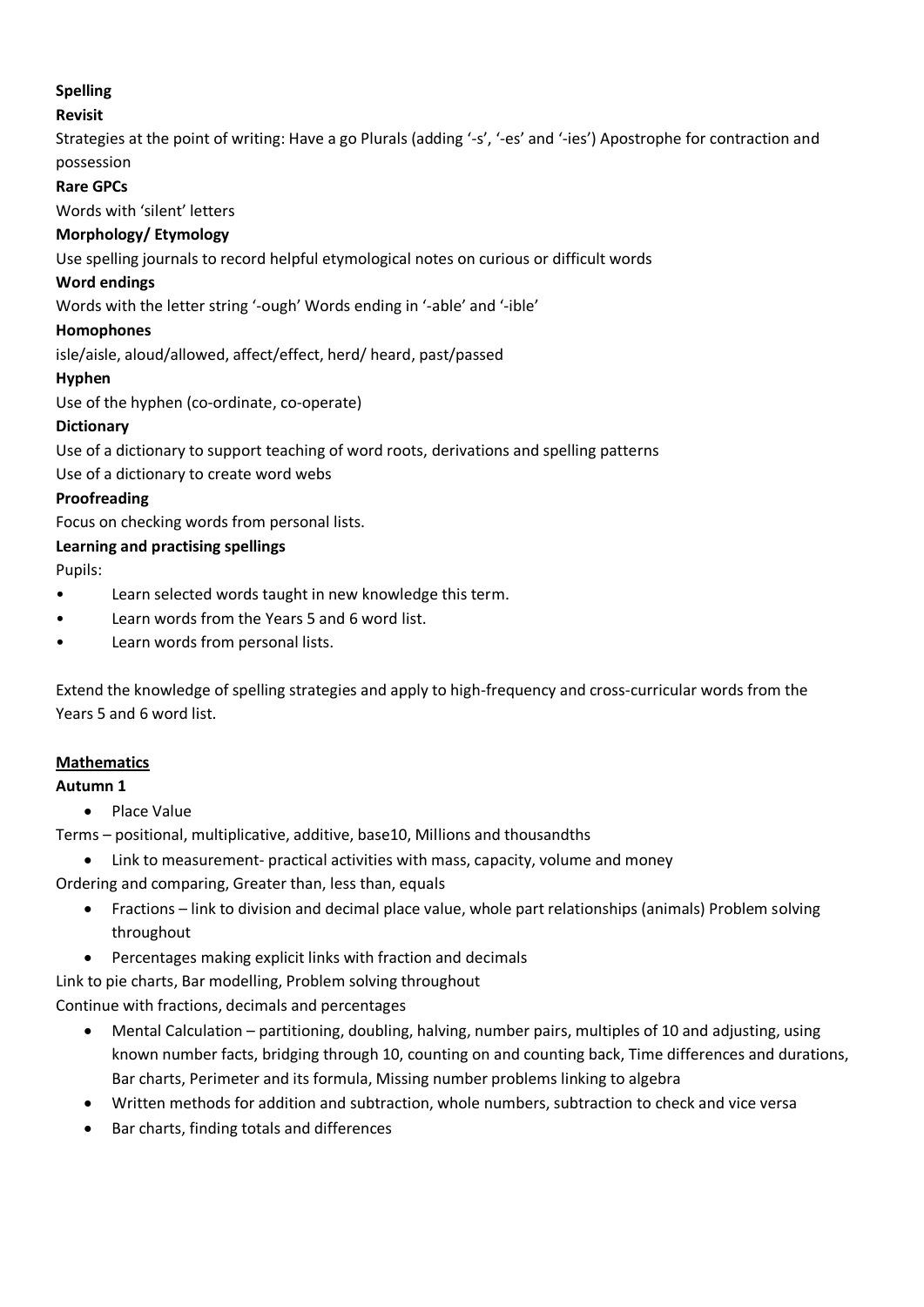# **Spelling**

## **Revisit**

Strategies at the point of writing: Have a go Plurals (adding '-s', '-es' and '-ies') Apostrophe for contraction and possession

## **Rare GPCs**

Words with 'silent' letters

## **Morphology/ Etymology**

Use spelling journals to record helpful etymological notes on curious or difficult words

#### **Word endings**

Words with the letter string '-ough' Words ending in '-able' and '-ible'

## **Homophones**

isle/aisle, aloud/allowed, affect/effect, herd/ heard, past/passed

#### **Hyphen**

Use of the hyphen (co-ordinate, co-operate)

## **Dictionary**

Use of a dictionary to support teaching of word roots, derivations and spelling patterns

Use of a dictionary to create word webs

## **Proofreading**

Focus on checking words from personal lists.

## **Learning and practising spellings**

Pupils:

- Learn selected words taught in new knowledge this term.
- Learn words from the Years 5 and 6 word list.
- Learn words from personal lists.

Extend the knowledge of spelling strategies and apply to high-frequency and cross-curricular words from the Years 5 and 6 word list.

## **Mathematics**

## **Autumn 1**

• Place Value

Terms – positional, multiplicative, additive, base10, Millions and thousandths

Link to measurement- practical activities with mass, capacity, volume and money

Ordering and comparing, Greater than, less than, equals

- Fractions link to division and decimal place value, whole part relationships (animals) Problem solving throughout
- Percentages making explicit links with fraction and decimals

Link to pie charts, Bar modelling, Problem solving throughout

Continue with fractions, decimals and percentages

- Mental Calculation partitioning, doubling, halving, number pairs, multiples of 10 and adjusting, using known number facts, bridging through 10, counting on and counting back, Time differences and durations, Bar charts, Perimeter and its formula, Missing number problems linking to algebra
- Written methods for addition and subtraction, whole numbers, subtraction to check and vice versa
- Bar charts, finding totals and differences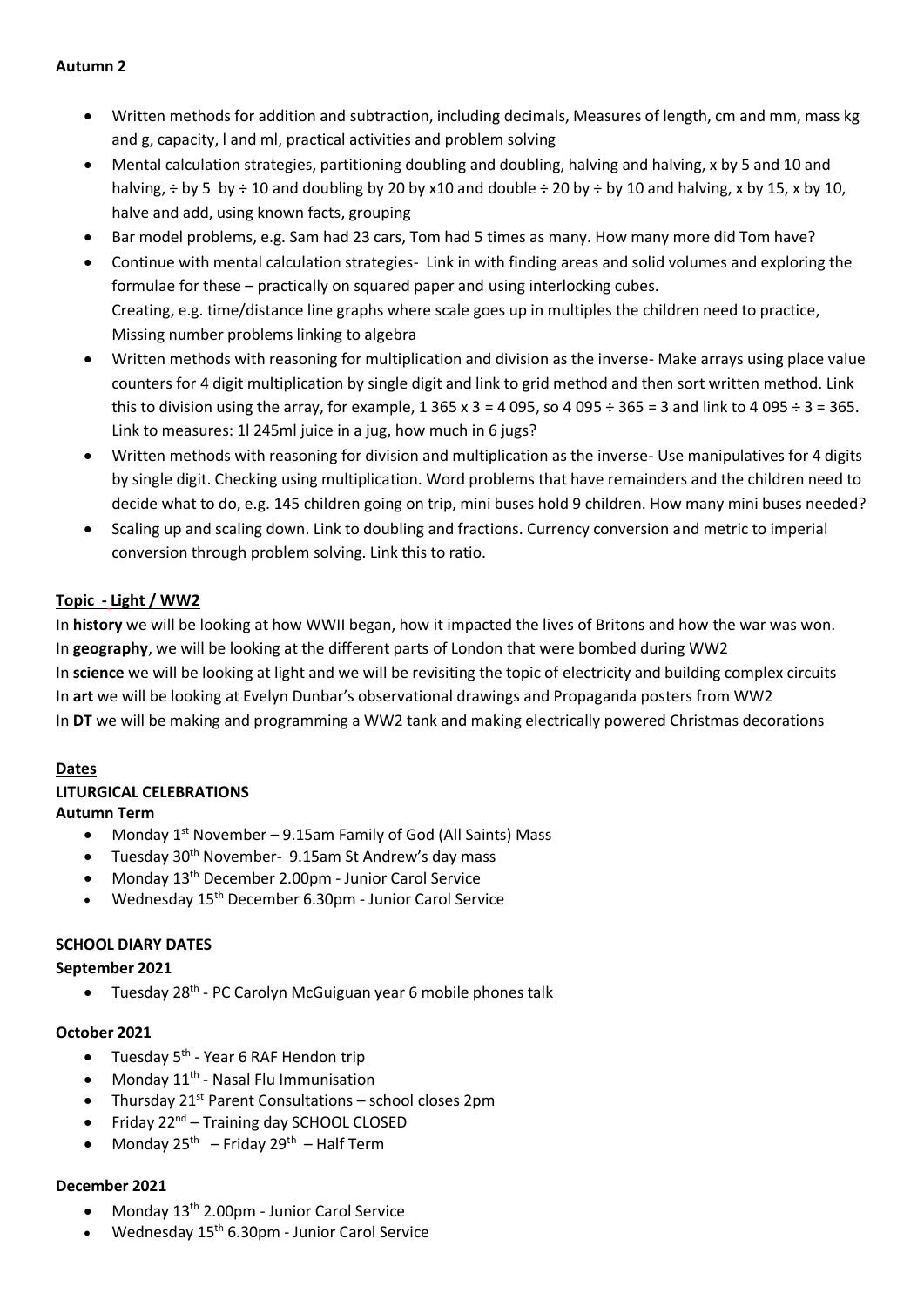## **Autumn 2**

- Written methods for addition and subtraction, including decimals, Measures of length, cm and mm, mass kg and g, capacity, l and ml, practical activities and problem solving
- Mental calculation strategies, partitioning doubling and doubling, halving and halving, x by 5 and 10 and halving,  $\div$  by 5 by  $\div$  10 and doubling by 20 by x10 and double  $\div$  20 by  $\div$  by 10 and halving, x by 15, x by 10, halve and add, using known facts, grouping
- Bar model problems, e.g. Sam had 23 cars, Tom had 5 times as many. How many more did Tom have?
- Continue with mental calculation strategies- Link in with finding areas and solid volumes and exploring the formulae for these – practically on squared paper and using interlocking cubes. Creating, e.g. time/distance line graphs where scale goes up in multiples the children need to practice, Missing number problems linking to algebra
- Written methods with reasoning for multiplication and division as the inverse- Make arrays using place value counters for 4 digit multiplication by single digit and link to grid method and then sort written method. Link this to division using the array, for example,  $1\,365 \times 3 = 4\,095$ , so  $4\,095 \div 365 = 3$  and link to  $4\,095 \div 3 = 365$ . Link to measures: 1l 245ml juice in a jug, how much in 6 jugs?
- Written methods with reasoning for division and multiplication as the inverse- Use manipulatives for 4 digits by single digit. Checking using multiplication. Word problems that have remainders and the children need to decide what to do, e.g. 145 children going on trip, mini buses hold 9 children. How many mini buses needed?
- Scaling up and scaling down. Link to doubling and fractions. Currency conversion and metric to imperial conversion through problem solving. Link this to ratio.

## **Topic - Light / WW2**

In **history** we will be looking at how WWII began, how it impacted the lives of Britons and how the war was won. In **geography**, we will be looking at the different parts of London that were bombed during WW2 In **science** we will be looking at light and we will be revisiting the topic of electricity and building complex circuits In **art** we will be looking at Evelyn Dunbar's observational drawings and Propaganda posters from WW2 In **DT** we will be making and programming a WW2 tank and making electrically powered Christmas decorations

## **Dates**

## **LITURGICAL CELEBRATIONS**

## **Autumn Term**

- Monday  $1^{st}$  November 9.15am Family of God (All Saints) Mass
- Tuesday 30<sup>th</sup> November- 9.15am St Andrew's day mass
- Monday 13th December 2.00pm Junior Carol Service
- Wednesday 15th December 6.30pm Junior Carol Service

## **SCHOOL DIARY DATES**

## **September 2021**

• Tuesday 28<sup>th</sup> - PC Carolyn McGuiguan year 6 mobile phones talk

## **October 2021**

- Tuesday  $5<sup>th</sup>$  Year 6 RAF Hendon trip
- Monday  $11^{th}$  Nasal Flu Immunisation
- Thursday  $21^{st}$  Parent Consultations school closes 2pm
- Friday  $22^{nd}$  Training day SCHOOL CLOSED
- Monday  $25^{th}$  Friday  $29^{th}$  Half Term

## **December 2021**

- Monday 13<sup>th</sup> 2.00pm Junior Carol Service
- Wednesday 15th 6.30pm Junior Carol Service